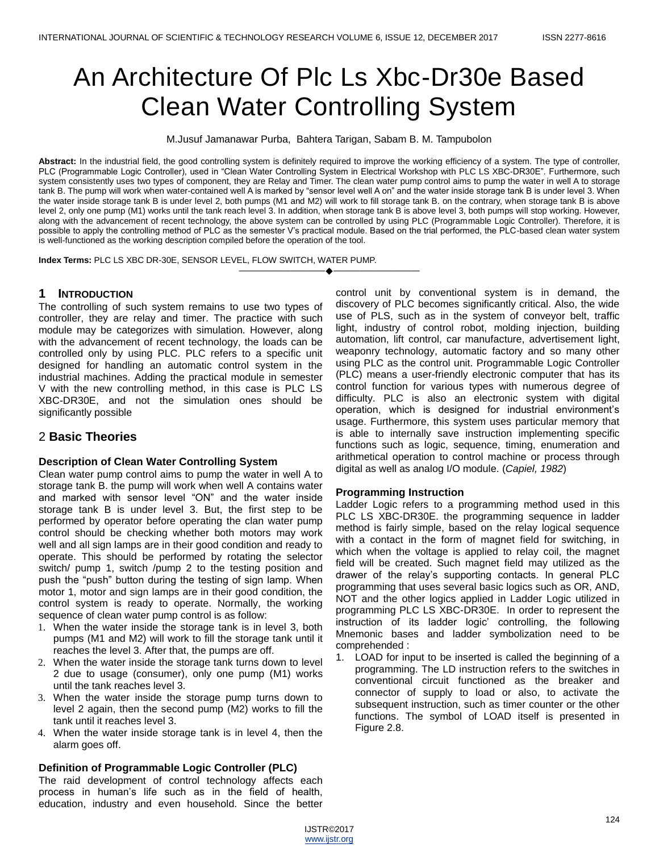# An Architecture Of Plc Ls Xbc-Dr30e Based Clean Water Controlling System

M.Jusuf Jamanawar Purba, Bahtera Tarigan, Sabam B. M. Tampubolon

**Abstract:** In the industrial field, the good controlling system is definitely required to improve the working efficiency of a system. The type of controller, PLC (Programmable Logic Controller), used in "Clean Water Controlling System in Electrical Workshop with PLC LS XBC-DR30E". Furthermore, such system consistently uses two types of component, they are Relay and Timer. The clean water pump control aims to pump the water in well A to storage tank B. The pump will work when water-contained well A is marked by "sensor level well A on" and the water inside storage tank B is under level 3. When the water inside storage tank B is under level 2, both pumps (M1 and M2) will work to fill storage tank B. on the contrary, when storage tank B is above level 2, only one pump (M1) works until the tank reach level 3. In addition, when storage tank B is above level 3, both pumps will stop working. However, along with the advancement of recent technology, the above system can be controlled by using PLC (Programmable Logic Controller). Therefore, it is possible to apply the controlling method of PLC as the semester V's practical module. Based on the trial performed, the PLC-based clean water system is well-functioned as the working description compiled before the operation of the tool.

————————————————————

**Index Terms:** PLC LS XBC DR-30E, SENSOR LEVEL, FLOW SWITCH, WATER PUMP.

# **1 INTRODUCTION**

The controlling of such system remains to use two types of controller, they are relay and timer. The practice with such module may be categorizes with simulation. However, along with the advancement of recent technology, the loads can be controlled only by using PLC. PLC refers to a specific unit designed for handling an automatic control system in the industrial machines. Adding the practical module in semester V with the new controlling method, in this case is PLC LS XBC-DR30E, and not the simulation ones should be significantly possible

# 2 **Basic Theories**

# **Description of Clean Water Controlling System**

Clean water pump control aims to pump the water in well A to storage tank B. the pump will work when well A contains water and marked with sensor level "ON" and the water inside storage tank B is under level 3. But, the first step to be performed by operator before operating the clan water pump control should be checking whether both motors may work well and all sign lamps are in their good condition and ready to operate. This should be performed by rotating the selector switch/ pump 1, switch /pump 2 to the testing position and push the "push" button during the testing of sign lamp. When motor 1, motor and sign lamps are in their good condition, the control system is ready to operate. Normally, the working sequence of clean water pump control is as follow:

- 1. When the water inside the storage tank is in level 3, both pumps (M1 and M2) will work to fill the storage tank until it reaches the level 3. After that, the pumps are off.
- 2. When the water inside the storage tank turns down to level 2 due to usage (consumer), only one pump (M1) works until the tank reaches level 3.
- 3. When the water inside the storage pump turns down to level 2 again, then the second pump (M2) works to fill the tank until it reaches level 3.
- 4. When the water inside storage tank is in level 4, then the alarm goes off.

# **Definition of Programmable Logic Controller (PLC)**

The raid development of control technology affects each process in human's life such as in the field of health, education, industry and even household. Since the better control unit by conventional system is in demand, the discovery of PLC becomes significantly critical. Also, the wide use of PLS, such as in the system of conveyor belt, traffic light, industry of control robot, molding injection, building automation, lift control, car manufacture, advertisement light, weaponry technology, automatic factory and so many other using PLC as the control unit. Programmable Logic Controller (PLC) means a user-friendly electronic computer that has its control function for various types with numerous degree of difficulty. PLC is also an electronic system with digital operation, which is designed for industrial environment's usage. Furthermore, this system uses particular memory that is able to internally save instruction implementing specific functions such as logic, sequence, timing, enumeration and arithmetical operation to control machine or process through digital as well as analog I/O module. (*Capiel, 1982*)

## **Programming Instruction**

Ladder Logic refers to a programming method used in this PLC LS XBC-DR30E. the programming sequence in ladder method is fairly simple, based on the relay logical sequence with a contact in the form of magnet field for switching, in which when the voltage is applied to relay coil, the magnet field will be created. Such magnet field may utilized as the drawer of the relay's supporting contacts. In general PLC programming that uses several basic logics such as OR, AND, NOT and the other logics applied in Ladder Logic utilized in programming PLC LS XBC-DR30E. In order to represent the instruction of its ladder logic' controlling, the following Mnemonic bases and ladder symbolization need to be comprehended :

1. LOAD for input to be inserted is called the beginning of a programming. The LD instruction refers to the switches in conventional circuit functioned as the breaker and connector of supply to load or also, to activate the subsequent instruction, such as timer counter or the other functions. The symbol of LOAD itself is presented in Figure 2.8.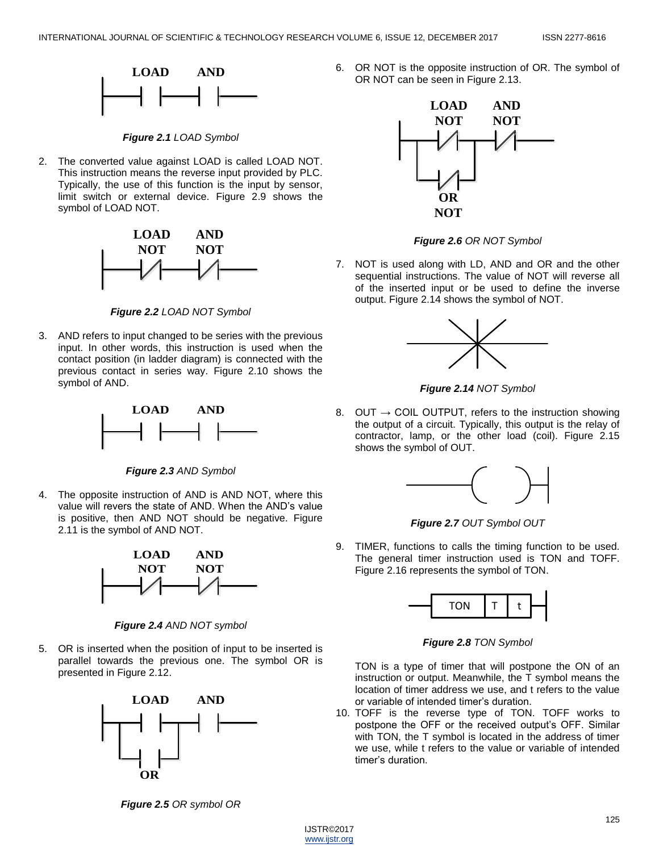

*Figure 2.1 LOAD Symbol*

2. The converted value against LOAD is called LOAD NOT. This instruction means the reverse input provided by PLC. Typically, the use of this function is the input by sensor, limit switch or external device. Figure 2.9 shows the symbol of LOAD NOT.



*Figure 2.2 LOAD NOT Symbol*

3. AND refers to input changed to be series with the previous input. In other words, this instruction is used when the contact position (in ladder diagram) is connected with the previous contact in series way. Figure 2.10 shows the symbol of AND.



*Figure 2.3 AND Symbol*

4. The opposite instruction of AND is AND NOT, where this value will revers the state of AND. When the AND's value is positive, then AND NOT should be negative. Figure 2.11 is the symbol of AND NOT.



*Figure 2.4 AND NOT symbol*

5. OR is inserted when the position of input to be inserted is parallel towards the previous one. The symbol OR is presented in Figure 2.12.



6. OR NOT is the opposite instruction of OR. The symbol of OR NOT can be seen in Figure 2.13.



*Figure 2.6 OR NOT Symbol*

7. NOT is used along with LD, AND and OR and the other sequential instructions. The value of NOT will reverse all of the inserted input or be used to define the inverse output. Figure 2.14 shows the symbol of NOT.



*Figure 2.14 NOT Symbol*

8. OUT  $\rightarrow$  COIL OUTPUT, refers to the instruction showing the output of a circuit. Typically, this output is the relay of contractor, lamp, or the other load (coil). Figure 2.15 shows the symbol of OUT.



*Figure 2.7 OUT Symbol OUT*

9. TIMER, functions to calls the timing function to be used. The general timer instruction used is TON and TOFF. Figure 2.16 represents the symbol of TON.



*Figure 2.8 TON Symbol*

TON is a type of timer that will postpone the ON of an instruction or output. Meanwhile, the T symbol means the location of timer address we use, and t refers to the value or variable of intended timer's duration.

10. TOFF is the reverse type of TON. TOFF works to postpone the OFF or the received output's OFF. Similar with TON, the T symbol is located in the address of timer we use, while t refers to the value or variable of intended timer's duration.

*Figure 2.5 OR symbol OR*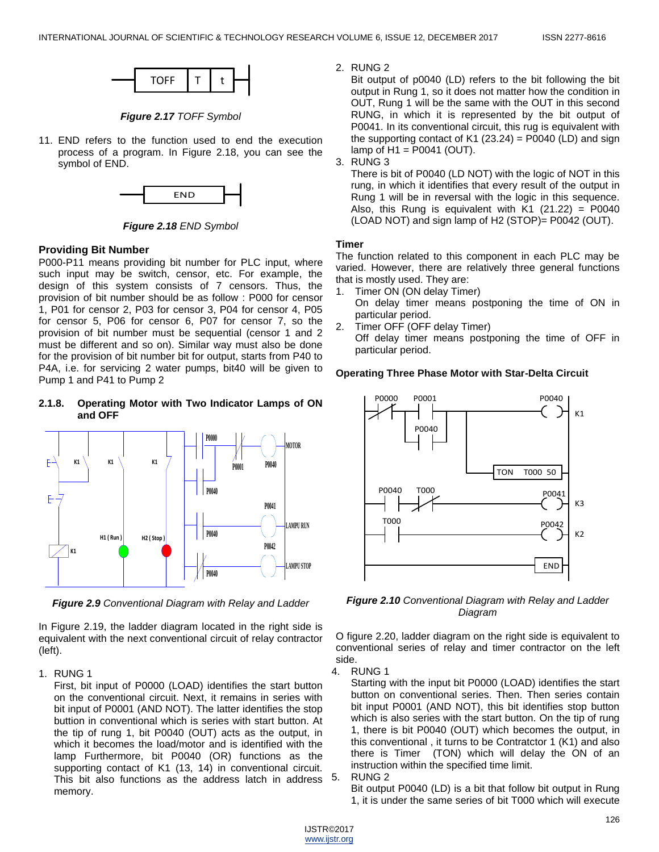

*Figure 2.17 TOFF Symbol*

11. END refers to the function used to end the execution process of a program. In Figure 2.18, you can see the symbol of END.



*Figure 2.18 END Symbol*

# **Providing Bit Number**

P000-P11 means providing bit number for PLC input, where such input may be switch, censor, etc. For example, the design of this system consists of 7 censors. Thus, the provision of bit number should be as follow : P000 for censor 1, P01 for censor 2, P03 for censor 3, P04 for censor 4, P05 for censor 5, P06 for censor 6, P07 for censor 7, so the provision of bit number must be sequential (censor 1 and 2 must be different and so on). Similar way must also be done for the provision of bit number bit for output, starts from P40 to P4A, i.e. for servicing 2 water pumps, bit40 will be given to Pump 1 and P41 to Pump 2

## **2.1.8. Operating Motor with Two Indicator Lamps of ON and OFF**



*Figure 2.9 Conventional Diagram with Relay and Ladder*

In Figure 2.19, the ladder diagram located in the right side is equivalent with the next conventional circuit of relay contractor (left).

1. RUNG 1

First, bit input of P0000 (LOAD) identifies the start button on the conventional circuit. Next, it remains in series with bit input of P0001 (AND NOT). The latter identifies the stop buttion in conventional which is series with start button. At the tip of rung 1, bit P0040 (OUT) acts as the output, in which it becomes the load/motor and is identified with the lamp Furthermore, bit P0040 (OR) functions as the supporting contact of K1 (13, 14) in conventional circuit. This bit also functions as the address latch in address memory.

2. RUNG 2

Bit output of p0040 (LD) refers to the bit following the bit output in Rung 1, so it does not matter how the condition in OUT, Rung 1 will be the same with the OUT in this second RUNG, in which it is represented by the bit output of P0041. In its conventional circuit, this rug is equivalent with the supporting contact of K1  $(23.24)$  = P0040 (LD) and sign lamp of  $H1 = P0041$  (OUT).

3. RUNG 3

There is bit of P0040 (LD NOT) with the logic of NOT in this rung, in which it identifies that every result of the output in Rung 1 will be in reversal with the logic in this sequence. Also, this Rung is equivalent with  $K1$  (21.22) = P0040 (LOAD NOT) and sign lamp of H2 (STOP)= P0042 (OUT).

# **Timer**

The function related to this component in each PLC may be varied. However, there are relatively three general functions that is mostly used. They are:

- 1. Timer ON (ON delay Timer) On delay timer means postponing the time of ON in particular period.
- 2. Timer OFF (OFF delay Timer)

Off delay timer means postponing the time of OFF in particular period.

# **Operating Three Phase Motor with Star-Delta Circuit**



*Figure 2.10 Conventional Diagram with Relay and Ladder Diagram*

O figure 2.20, ladder diagram on the right side is equivalent to conventional series of relay and timer contractor on the left side.

4. RUNG 1

Starting with the input bit P0000 (LOAD) identifies the start button on conventional series. Then. Then series contain bit input P0001 (AND NOT), this bit identifies stop button which is also series with the start button. On the tip of rung 1, there is bit P0040 (OUT) which becomes the output, in this conventional , it turns to be Contratctor 1 (K1) and also there is Timer (TON) which will delay the ON of an instruction within the specified time limit.

# 5. RUNG 2

Bit output P0040 (LD) is a bit that follow bit output in Rung 1, it is under the same series of bit T000 which will execute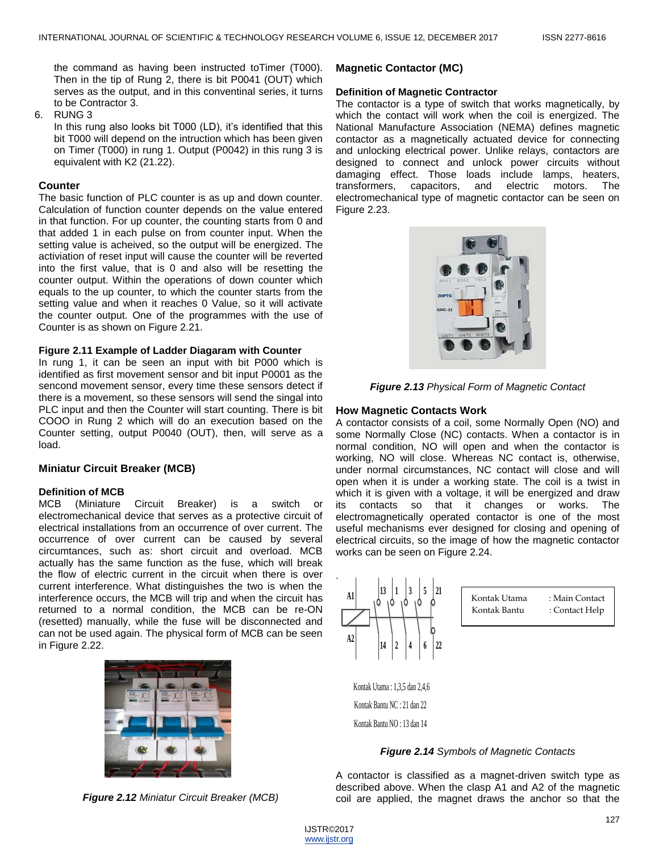the command as having been instructed toTimer (T000). Then in the tip of Rung 2, there is bit P0041 (OUT) which serves as the output, and in this conventinal series, it turns to be Contractor 3.

6. RUNG 3

In this rung also looks bit T000 (LD), it's identified that this bit T000 will depend on the intruction which has been given on Timer (T000) in rung 1. Output (P0042) in this rung 3 is equivalent with K2 (21.22).

#### **Counter**

The basic function of PLC counter is as up and down counter. Calculation of function counter depends on the value entered in that function. For up counter, the counting starts from 0 and that added 1 in each pulse on from counter input. When the setting value is acheived, so the output will be energized. The activiation of reset input will cause the counter will be reverted into the first value, that is 0 and also will be resetting the counter output. Within the operations of down counter which equals to the up counter, to which the counter starts from the setting value and when it reaches 0 Value, so it will activate the counter output. One of the programmes with the use of Counter is as shown on Figure 2.21.

#### **Figure 2.11 Example of Ladder Diagaram with Counter**

In rung 1, it can be seen an input with bit P000 which is identified as first movement sensor and bit input P0001 as the sencond movement sensor, every time these sensors detect if there is a movement, so these sensors will send the singal into PLC input and then the Counter will start counting. There is bit COOO in Rung 2 which will do an execution based on the Counter setting, output P0040 (OUT), then, will serve as a load.

## **Miniatur Circuit Breaker (MCB)**

#### **Definition of MCB**

MCB (Miniature Circuit Breaker) is a switch or electromechanical device that serves as a protective circuit of electrical installations from an occurrence of over current. The occurrence of over current can be caused by several circumtances, such as: short circuit and overload. MCB actually has the same function as the fuse, which will break the flow of electric current in the circuit when there is over current interference. What distinguishes the two is when the interference occurs, the MCB will trip and when the circuit has returned to a normal condition, the MCB can be re-ON (resetted) manually, while the fuse will be disconnected and can not be used again. The physical form of MCB can be seen in Figure 2.22.



*Figure 2.12 Miniatur Circuit Breaker (MCB)*

## **Magnetic Contactor (MC)**

#### **Definition of Magnetic Contractor**

The contactor is a type of switch that works magnetically, by which the contact will work when the coil is energized. The National Manufacture Association (NEMA) defines magnetic contactor as a magnetically actuated device for connecting and unlocking electrical power. Unlike relays, contactors are designed to connect and unlock power circuits without damaging effect. Those loads include lamps, heaters, transformers, capacitors, and electric motors. The electromechanical type of magnetic contactor can be seen on Figure 2.23.



*Figure 2.13 Physical Form of Magnetic Contact*

#### **How Magnetic Contacts Work**

A contactor consists of a coil, some Normally Open (NO) and some Normally Close (NC) contacts. When a contactor is in normal condition, NO will open and when the contactor is working, NO will close. Whereas NC contact is, otherwise, under normal circumstances, NC contact will close and will open when it is under a working state. The coil is a twist in which it is given with a voltage, it will be energized and draw its contacts so that it changes or works. The electromagnetically operated contactor is one of the most useful mechanisms ever designed for closing and opening of electrical circuits, so the image of how the magnetic contactor works can be seen on Figure 2.24.



Kontak Bantu NO : 13 dan 14

## *Figure 2.14 Symbols of Magnetic Contacts*

A contactor is classified as a magnet-driven switch type as described above. When the clasp A1 and A2 of the magnetic coil are applied, the magnet draws the anchor so that the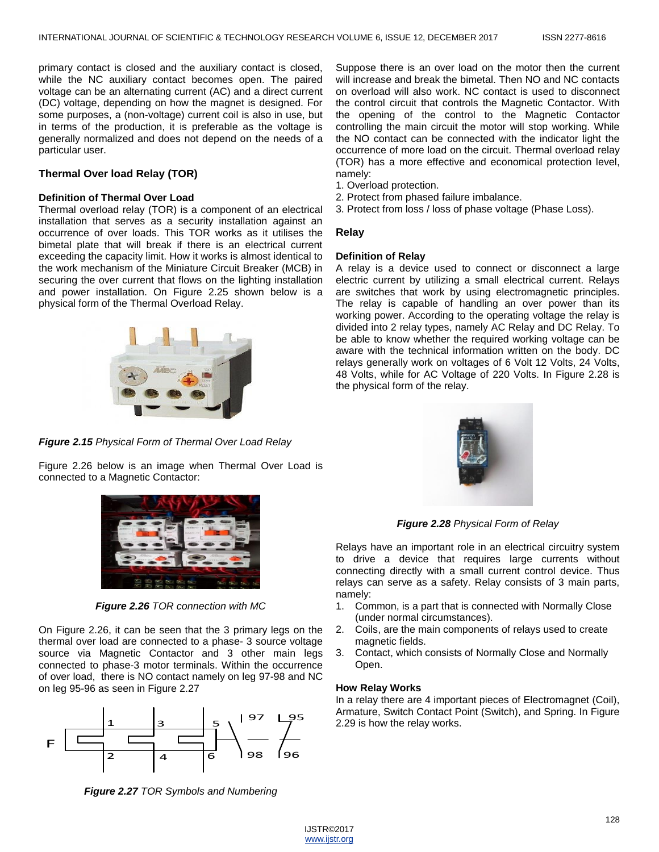primary contact is closed and the auxiliary contact is closed, while the NC auxiliary contact becomes open. The paired voltage can be an alternating current (AC) and a direct current (DC) voltage, depending on how the magnet is designed. For some purposes, a (non-voltage) current coil is also in use, but in terms of the production, it is preferable as the voltage is generally normalized and does not depend on the needs of a particular user.

## **Thermal Over load Relay (TOR)**

#### **Definition of Thermal Over Load**

Thermal overload relay (TOR) is a component of an electrical installation that serves as a security installation against an occurrence of over loads. This TOR works as it utilises the bimetal plate that will break if there is an electrical current exceeding the capacity limit. How it works is almost identical to the work mechanism of the Miniature Circuit Breaker (MCB) in securing the over current that flows on the lighting installation and power installation. On Figure 2.25 shown below is a physical form of the Thermal Overload Relay.



*Figure 2.15 Physical Form of Thermal Over Load Relay*

Figure 2.26 below is an image when Thermal Over Load is connected to a Magnetic Contactor:



*Figure 2.26 TOR connection with MC*

On Figure 2.26, it can be seen that the 3 primary legs on the thermal over load are connected to a phase- 3 source voltage source via Magnetic Contactor and 3 other main legs connected to phase-3 motor terminals. Within the occurrence of over load, there is NO contact namely on leg 97-98 and NC on leg 95-96 as seen in Figure 2.27



Suppose there is an over load on the motor then the current will increase and break the bimetal. Then NO and NC contacts on overload will also work. NC contact is used to disconnect the control circuit that controls the Magnetic Contactor. With the opening of the control to the Magnetic Contactor controlling the main circuit the motor will stop working. While the NO contact can be connected with the indicator light the occurrence of more load on the circuit. Thermal overload relay (TOR) has a more effective and economical protection level, namely:

- 1. Overload protection.
- 2. Protect from phased failure imbalance.
- 3. Protect from loss / loss of phase voltage (Phase Loss).

#### **Relay**

#### **Definition of Relay**

A relay is a device used to connect or disconnect a large electric current by utilizing a small electrical current. Relays are switches that work by using electromagnetic principles. The relay is capable of handling an over power than its working power. According to the operating voltage the relay is divided into 2 relay types, namely AC Relay and DC Relay. To be able to know whether the required working voltage can be aware with the technical information written on the body. DC relays generally work on voltages of 6 Volt 12 Volts, 24 Volts, 48 Volts, while for AC Voltage of 220 Volts. In Figure 2.28 is the physical form of the relay.



*Figure 2.28 Physical Form of Relay*

Relays have an important role in an electrical circuitry system to drive a device that requires large currents without connecting directly with a small current control device. Thus relays can serve as a safety. Relay consists of 3 main parts, namely:

- 1. Common, is a part that is connected with Normally Close (under normal circumstances).
- 2. Coils, are the main components of relays used to create magnetic fields.
- 3. Contact, which consists of Normally Close and Normally Open.

#### **How Relay Works**

In a relay there are 4 important pieces of Electromagnet (Coil), Armature, Switch Contact Point (Switch), and Spring. In Figure 2.29 is how the relay works.

*Figure 2.27 TOR Symbols and Numbering*

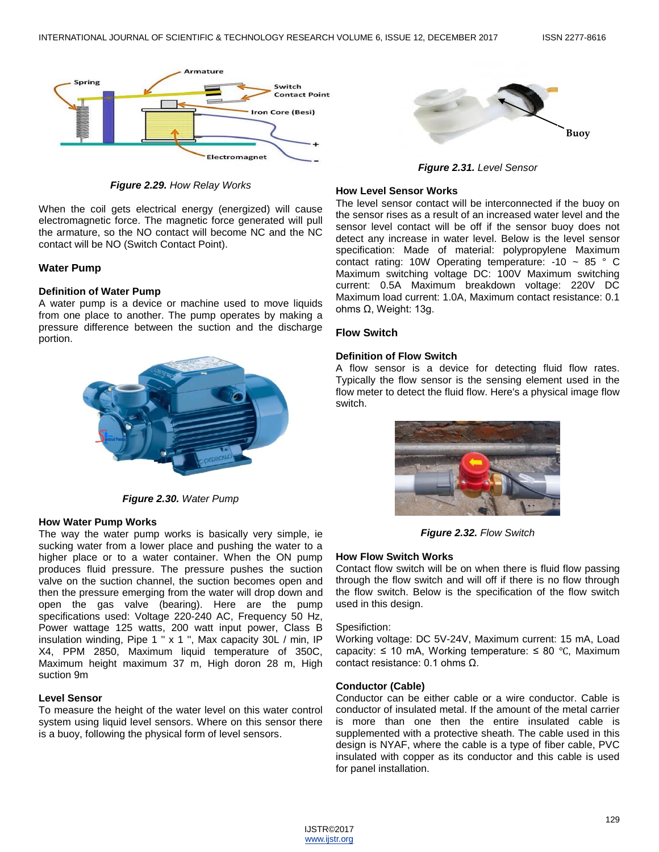

*Figure 2.29. How Relay Works*

When the coil gets electrical energy (energized) will cause electromagnetic force. The magnetic force generated will pull the armature, so the NO contact will become NC and the NC contact will be NO (Switch Contact Point).

## **Water Pump**

## **Definition of Water Pump**

A water pump is a device or machine used to move liquids from one place to another. The pump operates by making a pressure difference between the suction and the discharge portion.



*Figure 2.30. Water Pump*

## **How Water Pump Works**

The way the water pump works is basically very simple, ie sucking water from a lower place and pushing the water to a higher place or to a water container. When the ON pump produces fluid pressure. The pressure pushes the suction valve on the suction channel, the suction becomes open and then the pressure emerging from the water will drop down and open the gas valve (bearing). Here are the pump specifications used: Voltage 220-240 AC, Frequency 50 Hz, Power wattage 125 watts, 200 watt input power, Class B insulation winding, Pipe 1 '' x 1 '', Max capacity 30L / min, IP X4, PPM 2850, Maximum liquid temperature of 350C, Maximum height maximum 37 m, High doron 28 m, High suction 9m

## **Level Sensor**

To measure the height of the water level on this water control system using liquid level sensors. Where on this sensor there is a buoy, following the physical form of level sensors.



*Figure 2.31. Level Sensor*

## **How Level Sensor Works**

The level sensor contact will be interconnected if the buoy on the sensor rises as a result of an increased water level and the sensor level contact will be off if the sensor buoy does not detect any increase in water level. Below is the level sensor specification: Made of material: polypropylene Maximum contact rating: 10W Operating temperature: -10 ~ 85 ° C Maximum switching voltage DC: 100V Maximum switching current: 0.5A Maximum breakdown voltage: 220V DC Maximum load current: 1.0A, Maximum contact resistance: 0.1 ohms Ω, Weight: 13g.

## **Flow Switch**

## **Definition of Flow Switch**

A flow sensor is a device for detecting fluid flow rates. Typically the flow sensor is the sensing element used in the flow meter to detect the fluid flow. Here's a physical image flow switch.



*Figure 2.32. Flow Switch*

## **How Flow Switch Works**

Contact flow switch will be on when there is fluid flow passing through the flow switch and will off if there is no flow through the flow switch. Below is the specification of the flow switch used in this design.

## Spesifiction:

Working voltage: DC 5V-24V, Maximum current: 15 mA, Load capacity:  $\leq 10$  mA, Working temperature:  $\leq 80$  °C, Maximum contact resistance: 0.1 ohms Ω.

## **Conductor (Cable)**

Conductor can be either cable or a wire conductor. Cable is conductor of insulated metal. If the amount of the metal carrier is more than one then the entire insulated cable is supplemented with a protective sheath. The cable used in this design is NYAF, where the cable is a type of fiber cable, PVC insulated with copper as its conductor and this cable is used for panel installation.

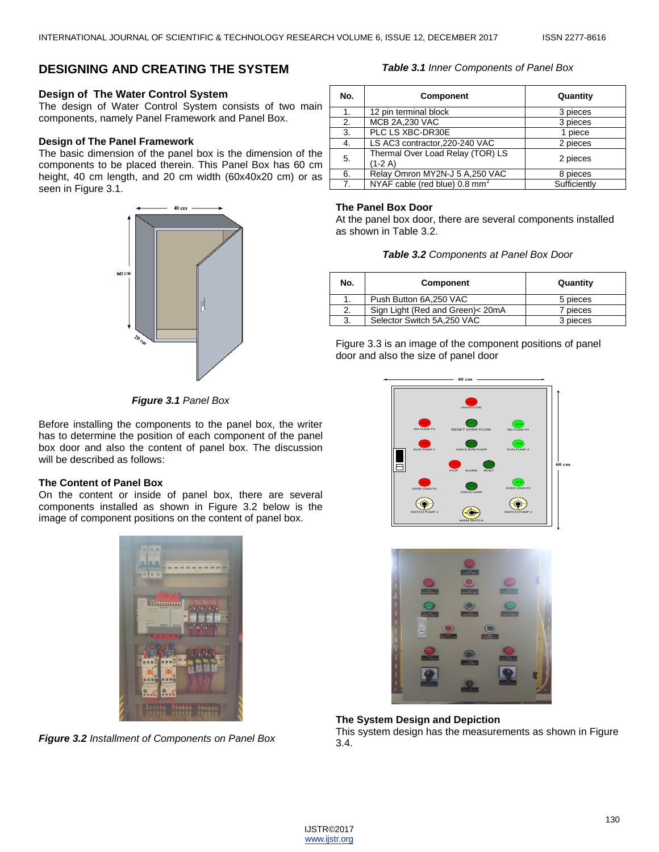# **DESIGNING AND CREATING THE SYSTEM**

# **Design of The Water Control System**

The design of Water Control System consists of two main components, namely Panel Framework and Panel Box.

# **Design of The Panel Framework**

The basic dimension of the panel box is the dimension of the components to be placed therein. This Panel Box has 60 cm height, 40 cm length, and 20 cm width (60x40x20 cm) or as seen in Figure 3.1.



#### *Table 3.1 Inner Components of Panel Box*

| No.            | <b>Component</b>                             | Quantity     |  |  |
|----------------|----------------------------------------------|--------------|--|--|
| 1.             | 12 pin terminal block                        | 3 pieces     |  |  |
| 2.             | <b>MCB 2A,230 VAC</b>                        | 3 pieces     |  |  |
| 3.             | PLC LS XBC-DR30E                             | 1 piece      |  |  |
| 4.             | LS AC3 contractor, 220-240 VAC               | 2 pieces     |  |  |
| 5.             | Thermal Over Load Relay (TOR) LS<br>$(1-2A)$ | 2 pieces     |  |  |
| 6.             | Relay Omron MY2N-J 5 A, 250 VAC              | 8 pieces     |  |  |
| 7 <sub>1</sub> | NYAF cable (red blue) 0.8 mm <sup>2</sup>    | Sufficiently |  |  |

# **The Panel Box Door**

At the panel box door, there are several components installed as shown in Table 3.2.

| No. | Component                        | Quantity |  |
|-----|----------------------------------|----------|--|
|     | Push Button 6A, 250 VAC          | 5 pieces |  |
| 2.  | Sign Light (Red and Green)< 20mA | 7 pieces |  |
| 3.  | Selector Switch 5A,250 VAC       | 3 pieces |  |

Figure 3.3 is an image of the component positions of panel door and also the size of panel door





## **The System Design and Depiction**

This system design has the measurements as shown in Figure 3.4.

## *Figure 3.1 Panel Box*

Before installing the components to the panel box, the writer has to determine the position of each component of the panel box door and also the content of panel box. The discussion will be described as follows:

## **The Content of Panel Box**

On the content or inside of panel box, there are several components installed as shown in Figure 3.2 below is the image of component positions on the content of panel box.



*Figure 3.2 Installment of Components on Panel Box*

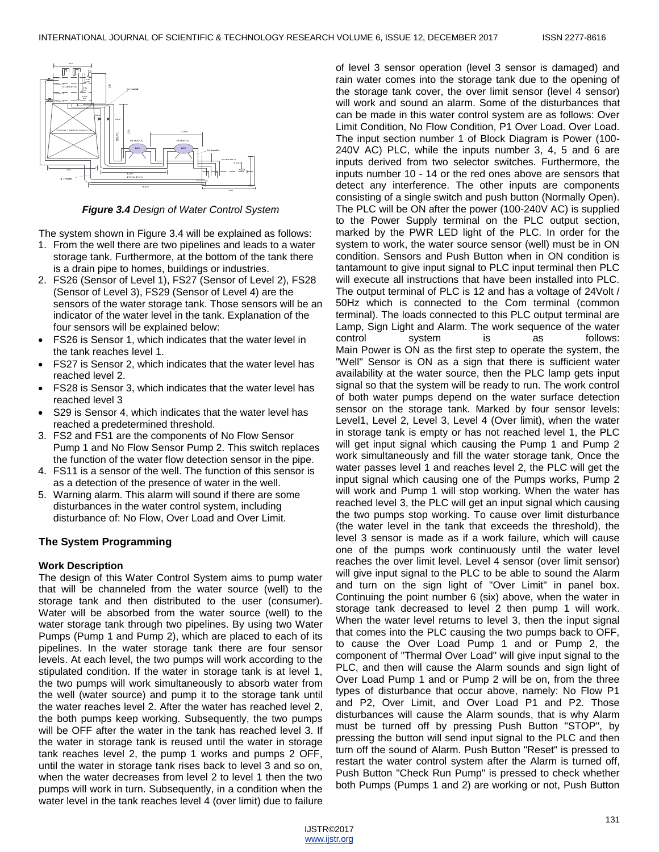

*Figure 3.4 Design of Water Control System*

The system shown in Figure 3.4 will be explained as follows:

- 1. From the well there are two pipelines and leads to a water storage tank. Furthermore, at the bottom of the tank there is a drain pipe to homes, buildings or industries.
- 2. FS26 (Sensor of Level 1), FS27 (Sensor of Level 2), FS28 (Sensor of Level 3), FS29 (Sensor of Level 4) are the sensors of the water storage tank. Those sensors will be an indicator of the water level in the tank. Explanation of the four sensors will be explained below:
- FS26 is Sensor 1, which indicates that the water level in the tank reaches level 1.
- FS27 is Sensor 2, which indicates that the water level has reached level 2.
- FS28 is Sensor 3, which indicates that the water level has reached level 3
- S29 is Sensor 4, which indicates that the water level has reached a predetermined threshold.
- 3. FS2 and FS1 are the components of No Flow Sensor Pump 1 and No Flow Sensor Pump 2. This switch replaces the function of the water flow detection sensor in the pipe.
- 4. FS11 is a sensor of the well. The function of this sensor is as a detection of the presence of water in the well.
- 5. Warning alarm. This alarm will sound if there are some disturbances in the water control system, including disturbance of: No Flow, Over Load and Over Limit.

# **The System Programming**

## **Work Description**

The design of this Water Control System aims to pump water that will be channeled from the water source (well) to the storage tank and then distributed to the user (consumer). Water will be absorbed from the water source (well) to the water storage tank through two pipelines. By using two Water Pumps (Pump 1 and Pump 2), which are placed to each of its pipelines. In the water storage tank there are four sensor levels. At each level, the two pumps will work according to the stipulated condition. If the water in storage tank is at level 1, the two pumps will work simultaneously to absorb water from the well (water source) and pump it to the storage tank until the water reaches level 2. After the water has reached level 2, the both pumps keep working. Subsequently, the two pumps will be OFF after the water in the tank has reached level 3. If the water in storage tank is reused until the water in storage tank reaches level 2, the pump 1 works and pumps 2 OFF, until the water in storage tank rises back to level 3 and so on, when the water decreases from level 2 to level 1 then the two pumps will work in turn. Subsequently, in a condition when the water level in the tank reaches level 4 (over limit) due to failure

of level 3 sensor operation (level 3 sensor is damaged) and rain water comes into the storage tank due to the opening of the storage tank cover, the over limit sensor (level 4 sensor) will work and sound an alarm. Some of the disturbances that can be made in this water control system are as follows: Over Limit Condition, No Flow Condition, P1 Over Load. Over Load. The input section number 1 of Block Diagram is Power (100- 240V AC) PLC, while the inputs number 3, 4, 5 and 6 are inputs derived from two selector switches. Furthermore, the inputs number 10 - 14 or the red ones above are sensors that detect any interference. The other inputs are components consisting of a single switch and push button (Normally Open). The PLC will be ON after the power (100-240V AC) is supplied to the Power Supply terminal on the PLC output section, marked by the PWR LED light of the PLC. In order for the system to work, the water source sensor (well) must be in ON condition. Sensors and Push Button when in ON condition is tantamount to give input signal to PLC input terminal then PLC will execute all instructions that have been installed into PLC. The output terminal of PLC is 12 and has a voltage of 24Volt / 50Hz which is connected to the Com terminal (common terminal). The loads connected to this PLC output terminal are Lamp, Sign Light and Alarm. The work sequence of the water control system is as follows: Main Power is ON as the first step to operate the system, the "Well" Sensor is ON as a sign that there is sufficient water availability at the water source, then the PLC lamp gets input signal so that the system will be ready to run. The work control of both water pumps depend on the water surface detection sensor on the storage tank. Marked by four sensor levels: Level1, Level 2, Level 3, Level 4 (Over limit), when the water in storage tank is empty or has not reached level 1, the PLC will get input signal which causing the Pump 1 and Pump 2 work simultaneously and fill the water storage tank, Once the water passes level 1 and reaches level 2, the PLC will get the input signal which causing one of the Pumps works, Pump 2 will work and Pump 1 will stop working. When the water has reached level 3, the PLC will get an input signal which causing the two pumps stop working. To cause over limit disturbance (the water level in the tank that exceeds the threshold), the level 3 sensor is made as if a work failure, which will cause one of the pumps work continuously until the water level reaches the over limit level. Level 4 sensor (over limit sensor) will give input signal to the PLC to be able to sound the Alarm and turn on the sign light of "Over Limit" in panel box. Continuing the point number 6 (six) above, when the water in storage tank decreased to level 2 then pump 1 will work. When the water level returns to level 3, then the input signal that comes into the PLC causing the two pumps back to OFF, to cause the Over Load Pump 1 and or Pump 2, the component of "Thermal Over Load" will give input signal to the PLC, and then will cause the Alarm sounds and sign light of Over Load Pump 1 and or Pump 2 will be on, from the three types of disturbance that occur above, namely: No Flow P1 and P2, Over Limit, and Over Load P1 and P2. Those disturbances will cause the Alarm sounds, that is why Alarm must be turned off by pressing Push Button "STOP", by pressing the button will send input signal to the PLC and then turn off the sound of Alarm. Push Button "Reset" is pressed to restart the water control system after the Alarm is turned off, Push Button "Check Run Pump" is pressed to check whether both Pumps (Pumps 1 and 2) are working or not, Push Button

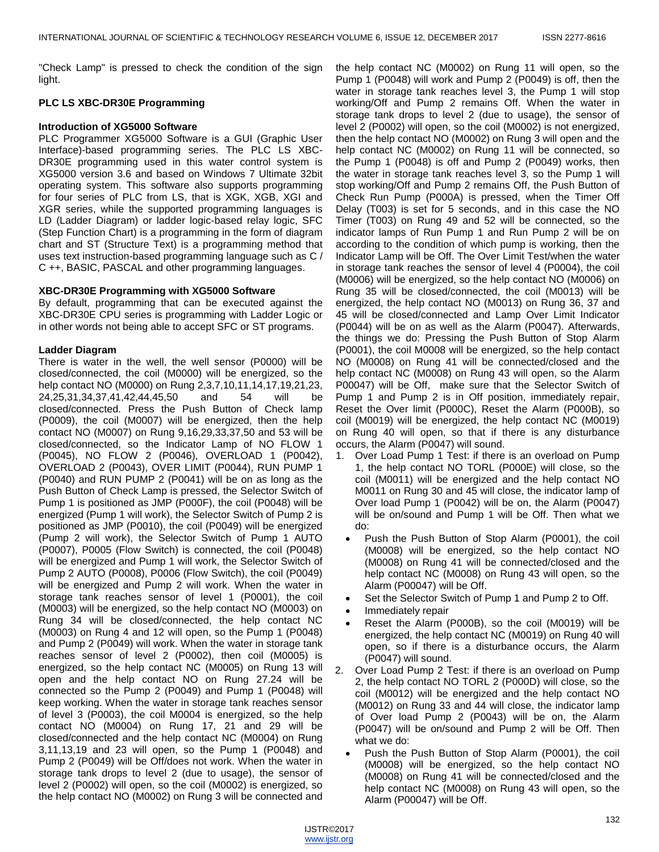"Check Lamp" is pressed to check the condition of the sign light.

## **PLC LS XBC-DR30E Programming**

## **Introduction of XG5000 Software**

PLC Programmer XG5000 Software is a GUI (Graphic User Interface)-based programming series. The PLC LS XBC-DR30E programming used in this water control system is XG5000 version 3.6 and based on Windows 7 Ultimate 32bit operating system. This software also supports programming for four series of PLC from LS, that is XGK, XGB, XGI and XGR series, while the supported programming languages is LD (Ladder Diagram) or ladder logic-based relay logic, SFC (Step Function Chart) is a programming in the form of diagram chart and ST (Structure Text) is a programming method that uses text instruction-based programming language such as C / C ++, BASIC, PASCAL and other programming languages.

## **XBC-DR30E Programming with XG5000 Software**

By default, programming that can be executed against the XBC-DR30E CPU series is programming with Ladder Logic or in other words not being able to accept SFC or ST programs.

## **Ladder Diagram**

There is water in the well, the well sensor (P0000) will be closed/connected, the coil (M0000) will be energized, so the help contact NO (M0000) on Rung 2,3,7,10,11,14,17,19,21,23, 24,25,31,34,37,41,42,44,45,50 and 54 will be closed/connected. Press the Push Button of Check lamp (P0009), the coil (M0007) will be energized, then the help contact NO (M0007) on Rung 9,16,29,33,37,50 and 53 will be closed/connected, so the Indicator Lamp of NO FLOW 1 (P0045), NO FLOW 2 (P0046), OVERLOAD 1 (P0042), OVERLOAD 2 (P0043), OVER LIMIT (P0044), RUN PUMP 1 (P0040) and RUN PUMP 2 (P0041) will be on as long as the Push Button of Check Lamp is pressed, the Selector Switch of Pump 1 is positioned as JMP (P000F), the coil (P0048) will be energized (Pump 1 will work), the Selector Switch of Pump 2 is positioned as JMP (P0010), the coil (P0049) will be energized (Pump 2 will work), the Selector Switch of Pump 1 AUTO (P0007), P0005 (Flow Switch) is connected, the coil (P0048) will be energized and Pump 1 will work, the Selector Switch of Pump 2 AUTO (P0008), P0006 (Flow Switch), the coil (P0049) will be energized and Pump 2 will work. When the water in storage tank reaches sensor of level 1 (P0001), the coil (M0003) will be energized, so the help contact NO (M0003) on Rung 34 will be closed/connected, the help contact NC (M0003) on Rung 4 and 12 will open, so the Pump 1 (P0048) and Pump 2 (P0049) will work. When the water in storage tank reaches sensor of level 2 (P0002), then coil (M0005) is energized, so the help contact NC (M0005) on Rung 13 will open and the help contact NO on Rung 27.24 will be connected so the Pump 2 (P0049) and Pump 1 (P0048) will keep working. When the water in storage tank reaches sensor of level 3 (P0003), the coil M0004 is energized, so the help contact NO (M0004) on Rung 17, 21 and 29 will be closed/connected and the help contact NC (M0004) on Rung 3,11,13,19 and 23 will open, so the Pump 1 (P0048) and Pump 2 (P0049) will be Off/does not work. When the water in storage tank drops to level 2 (due to usage), the sensor of level 2 (P0002) will open, so the coil (M0002) is energized, so the help contact NO (M0002) on Rung 3 will be connected and

the help contact NC (M0002) on Rung 11 will open, so the Pump 1 (P0048) will work and Pump 2 (P0049) is off, then the water in storage tank reaches level 3, the Pump 1 will stop working/Off and Pump 2 remains Off. When the water in storage tank drops to level 2 (due to usage), the sensor of level 2 (P0002) will open, so the coil (M0002) is not energized, then the help contact NO (M0002) on Rung 3 will open and the help contact NC (M0002) on Rung 11 will be connected, so the Pump 1 (P0048) is off and Pump 2 (P0049) works, then the water in storage tank reaches level 3, so the Pump 1 will stop working/Off and Pump 2 remains Off, the Push Button of Check Run Pump (P000A) is pressed, when the Timer Off Delay (T003) is set for 5 seconds, and in this case the NO Timer (T003) on Rung 49 and 52 will be connected, so the indicator lamps of Run Pump 1 and Run Pump 2 will be on according to the condition of which pump is working, then the Indicator Lamp will be Off. The Over Limit Test/when the water in storage tank reaches the sensor of level 4 (P0004), the coil (M0006) will be energized, so the help contact NO (M0006) on Rung 35 will be closed/connected, the coil (M0013) will be energized, the help contact NO (M0013) on Rung 36, 37 and 45 will be closed/connected and Lamp Over Limit Indicator (P0044) will be on as well as the Alarm (P0047). Afterwards, the things we do: Pressing the Push Button of Stop Alarm (P0001), the coil M0008 will be energized, so the help contact NO (M0008) on Rung 41 will be connected/closed and the help contact NC (M0008) on Rung 43 will open, so the Alarm P00047) will be Off, make sure that the Selector Switch of Pump 1 and Pump 2 is in Off position, immediately repair, Reset the Over limit (P000C), Reset the Alarm (P000B), so coil (M0019) will be energized, the help contact NC (M0019) on Rung 40 will open, so that if there is any disturbance occurs, the Alarm (P0047) will sound.

- 1. Over Load Pump 1 Test: if there is an overload on Pump 1, the help contact NO TORL (P000E) will close, so the coil (M0011) will be energized and the help contact NO M0011 on Rung 30 and 45 will close, the indicator lamp of Over load Pump 1 (P0042) will be on, the Alarm (P0047) will be on/sound and Pump 1 will be Off. Then what we do:
	- Push the Push Button of Stop Alarm (P0001), the coil (M0008) will be energized, so the help contact NO (M0008) on Rung 41 will be connected/closed and the help contact NC (M0008) on Rung 43 will open, so the Alarm (P00047) will be Off.
	- Set the Selector Switch of Pump 1 and Pump 2 to Off.
	- Immediately repair
	- Reset the Alarm (P000B), so the coil (M0019) will be energized, the help contact NC (M0019) on Rung 40 will open, so if there is a disturbance occurs, the Alarm (P0047) will sound.
- 2. Over Load Pump 2 Test: if there is an overload on Pump 2, the help contact NO TORL 2 (P000D) will close, so the coil (M0012) will be energized and the help contact NO (M0012) on Rung 33 and 44 will close, the indicator lamp of Over load Pump 2 (P0043) will be on, the Alarm (P0047) will be on/sound and Pump 2 will be Off. Then what we do:
	- Push the Push Button of Stop Alarm (P0001), the coil (M0008) will be energized, so the help contact NO (M0008) on Rung 41 will be connected/closed and the help contact NC (M0008) on Rung 43 will open, so the Alarm (P00047) will be Off.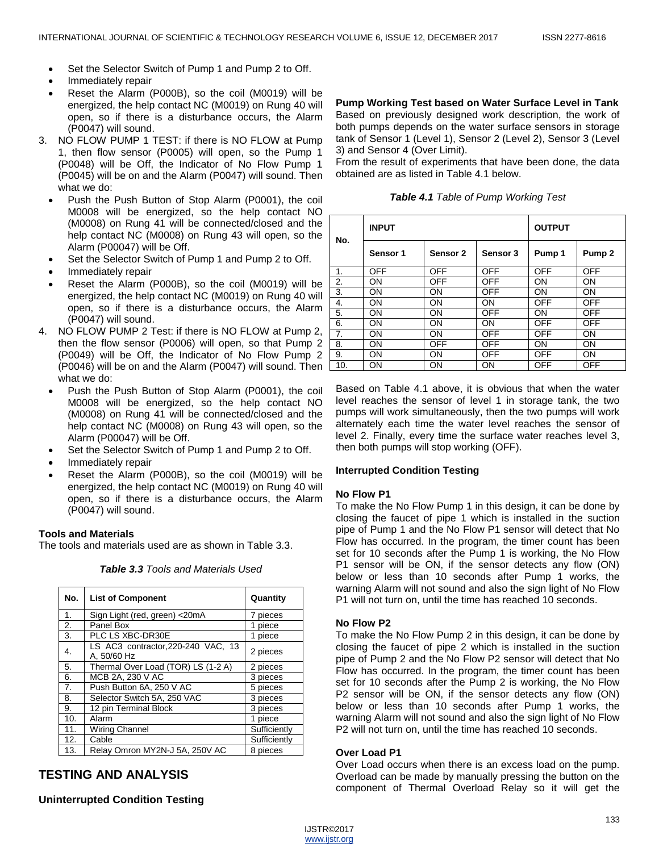- Set the Selector Switch of Pump 1 and Pump 2 to Off.
- Immediately repair
- Reset the Alarm (P000B), so the coil (M0019) will be energized, the help contact NC (M0019) on Rung 40 will open, so if there is a disturbance occurs, the Alarm (P0047) will sound.
- 3. NO FLOW PUMP 1 TEST: if there is NO FLOW at Pump 1, then flow sensor (P0005) will open, so the Pump 1 (P0048) will be Off, the Indicator of No Flow Pump 1 (P0045) will be on and the Alarm (P0047) will sound. Then what we do:
	- Push the Push Button of Stop Alarm (P0001), the coil M0008 will be energized, so the help contact NO (M0008) on Rung 41 will be connected/closed and the help contact NC (M0008) on Rung 43 will open, so the Alarm (P00047) will be Off.
	- Set the Selector Switch of Pump 1 and Pump 2 to Off.
	- Immediately repair
	- Reset the Alarm (P000B), so the coil (M0019) will be energized, the help contact NC (M0019) on Rung 40 will open, so if there is a disturbance occurs, the Alarm (P0047) will sound.
- 4. NO FLOW PUMP 2 Test: if there is NO FLOW at Pump 2, then the flow sensor (P0006) will open, so that Pump 2 (P0049) will be Off, the Indicator of No Flow Pump 2 (P0046) will be on and the Alarm (P0047) will sound. Then what we do:
	- Push the Push Button of Stop Alarm (P0001), the coil M0008 will be energized, so the help contact NO (M0008) on Rung 41 will be connected/closed and the help contact NC (M0008) on Rung 43 will open, so the Alarm (P00047) will be Off.
	- Set the Selector Switch of Pump 1 and Pump 2 to Off.
	- Immediately repair
	- Reset the Alarm (P000B), so the coil (M0019) will be energized, the help contact NC (M0019) on Rung 40 will open, so if there is a disturbance occurs, the Alarm (P0047) will sound.

## **Tools and Materials**

The tools and materials used are as shown in Table 3.3.

| No. | <b>List of Component</b>                          | Quantity     |  |
|-----|---------------------------------------------------|--------------|--|
| 1.  | Sign Light (red, green) <20mA                     | 7 pieces     |  |
| 2.  | Panel Box                                         | 1 piece      |  |
| 3.  | PLC LS XBC-DR30E                                  | 1 piece      |  |
| 4.  | LS AC3 contractor, 220-240 VAC, 13<br>A, 50/60 Hz | 2 pieces     |  |
| 5.  | Thermal Over Load (TOR) LS (1-2 A)                | 2 pieces     |  |
| 6.  | MCB 2A, 230 V AC                                  | 3 pieces     |  |
| 7.  | Push Button 6A, 250 V AC                          | 5 pieces     |  |
| 8.  | Selector Switch 5A, 250 VAC                       | 3 pieces     |  |
| 9.  | 12 pin Terminal Block                             | 3 pieces     |  |
| 10. | Alarm                                             | 1 piece      |  |
| 11. | Wiring Channel                                    | Sufficiently |  |
| 12. | Cable                                             | Sufficiently |  |
| 13. | Relay Omron MY2N-J 5A, 250V AC                    | 8 pieces     |  |

# *Table 3.3 Tools and Materials Used*

# **TESTING AND ANALYSIS**

## **Uninterrupted Condition Testing**

**Pump Working Test based on Water Surface Level in Tank** Based on previously designed work description, the work of both pumps depends on the water surface sensors in storage tank of Sensor 1 (Level 1), Sensor 2 (Level 2), Sensor 3 (Level 3) and Sensor 4 (Over Limit).

From the result of experiments that have been done, the data obtained are as listed in Table 4.1 below.

| Table 4.1 Table of Pump Working Test |  |  |  |  |
|--------------------------------------|--|--|--|--|
|--------------------------------------|--|--|--|--|

| No. | <b>INPUT</b> |            |            | <b>OUTPUT</b> |                   |
|-----|--------------|------------|------------|---------------|-------------------|
|     | Sensor 1     | Sensor 2   | Sensor 3   | Pump 1        | Pump <sub>2</sub> |
| 1.  | <b>OFF</b>   | <b>OFF</b> | <b>OFF</b> | OFF           | <b>OFF</b>        |
| 2.  | ON           | OFF        | OFF        | ON            | ON                |
| 3.  | ON           | ON         | OFF        | ON            | <b>ON</b>         |
| 4.  | ON           | ON         | ON         | OFF           | OFF               |
| 5.  | ON           | ON         | OFF        | ON            | <b>OFF</b>        |
| 6.  | ON           | ON         | <b>ON</b>  | OFF           | OFF               |
| 7.  | ON           | ON         | OFF        | OFF           | <b>ON</b>         |
| 8.  | ON           | <b>OFF</b> | OFF        | ON            | ON                |
| 9.  | ON           | ON         | OFF        | OFF           | <b>ON</b>         |
| 10. | OΝ           | OΝ         | ON         | OFF           | OFF               |

Based on Table 4.1 above, it is obvious that when the water level reaches the sensor of level 1 in storage tank, the two pumps will work simultaneously, then the two pumps will work alternately each time the water level reaches the sensor of level 2. Finally, every time the surface water reaches level 3, then both pumps will stop working (OFF).

#### **Interrupted Condition Testing**

#### **No Flow P1**

To make the No Flow Pump 1 in this design, it can be done by closing the faucet of pipe 1 which is installed in the suction pipe of Pump 1 and the No Flow P1 sensor will detect that No Flow has occurred. In the program, the timer count has been set for 10 seconds after the Pump 1 is working, the No Flow P1 sensor will be ON, if the sensor detects any flow (ON) below or less than 10 seconds after Pump 1 works, the warning Alarm will not sound and also the sign light of No Flow P1 will not turn on, until the time has reached 10 seconds.

## **No Flow P2**

To make the No Flow Pump 2 in this design, it can be done by closing the faucet of pipe 2 which is installed in the suction pipe of Pump 2 and the No Flow P2 sensor will detect that No Flow has occurred. In the program, the timer count has been set for 10 seconds after the Pump 2 is working, the No Flow P2 sensor will be ON, if the sensor detects any flow (ON) below or less than 10 seconds after Pump 1 works, the warning Alarm will not sound and also the sign light of No Flow P2 will not turn on, until the time has reached 10 seconds.

#### **Over Load P1**

Over Load occurs when there is an excess load on the pump. Overload can be made by manually pressing the button on the component of Thermal Overload Relay so it will get the